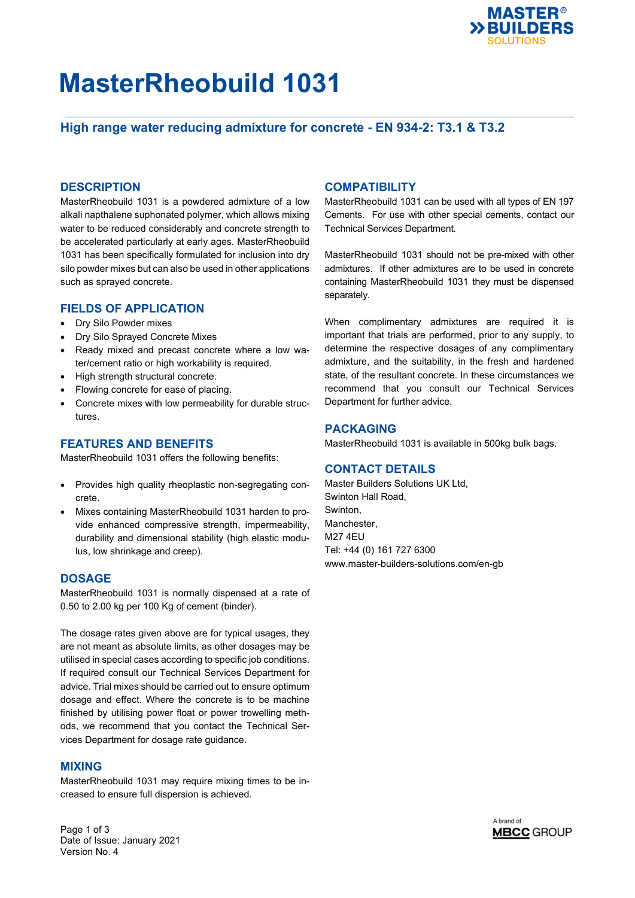

# **MasterRheobuild 1031**

## **High range water reducing admixture for concrete - EN 934-2: T3.1 & T3.2**

#### **DESCRIPTION**

MasterRheobuild 1031 is a powdered admixture of a low alkali napthalene suphonated polymer, which allows mixing water to be reduced considerably and concrete strength to be accelerated particularly at early ages. MasterRheobuild 1031 has been specifically formulated for inclusion into dry silo powder mixes but can also be used in other applications such as sprayed concrete.

#### **FIELDS OF APPLICATION**

- Dry Silo Powder mixes
- Dry Silo Sprayed Concrete Mixes
- Ready mixed and precast concrete where a low water/cement ratio or high workability is required.
- High strength structural concrete.
- Flowing concrete for ease of placing.
- Concrete mixes with low permeability for durable structures.

#### **FEATURES AND BENEFITS**

MasterRheobuild 1031 offers the following benefits:

- Provides high quality rheoplastic non-segregating concrete.
- Mixes containing MasterRheobuild 1031 harden to provide enhanced compressive strength, impermeability, durability and dimensional stability (high elastic modulus, low shrinkage and creep).

#### **DOSAGE**

MasterRheobuild 1031 is normally dispensed at a rate of 0.50 to 2.00 kg per 100 Kg of cement (binder).

The dosage rates given above are for typical usages, they are not meant as absolute limits, as other dosages may be utilised in special cases according to specific job conditions. If required consult our Technical Services Department for advice. Trial mixes should be carried out to ensure optimum dosage and effect. Where the concrete is to be machine finished by utilising power float or power trowelling methods, we recommend that you contact the Technical Services Department for dosage rate guidance.

#### **MIXING**

MasterRheobuild 1031 may require mixing times to be increased to ensure full dispersion is achieved.

### **COMPATIBILITY**

MasterRheobuild 1031 can be used with all types of EN 197 Cements. For use with other special cements, contact our Technical Services Department.

MasterRheobuild 1031 should not be pre-mixed with other admixtures. If other admixtures are to be used in concrete containing MasterRheobuild 1031 they must be dispensed separately.

When complimentary admixtures are required it is important that trials are performed, prior to any supply, to determine the respective dosages of any complimentary admixture, and the suitability, in the fresh and hardened state, of the resultant concrete. In these circumstances we recommend that you consult our Technical Services Department for further advice.

#### **PACKAGING**

MasterRheobuild 1031 is available in 500kg bulk bags.

#### **CONTACT DETAILS**

Master Builders Solutions UK Ltd, Swinton Hall Road, Swinton, Manchester, M27 4EU Tel: +44 (0) 161 727 6300 www.master-builders-solutions.com/en-gb

Page 1 of 3 Date of Issue: January 2021 Version No. 4

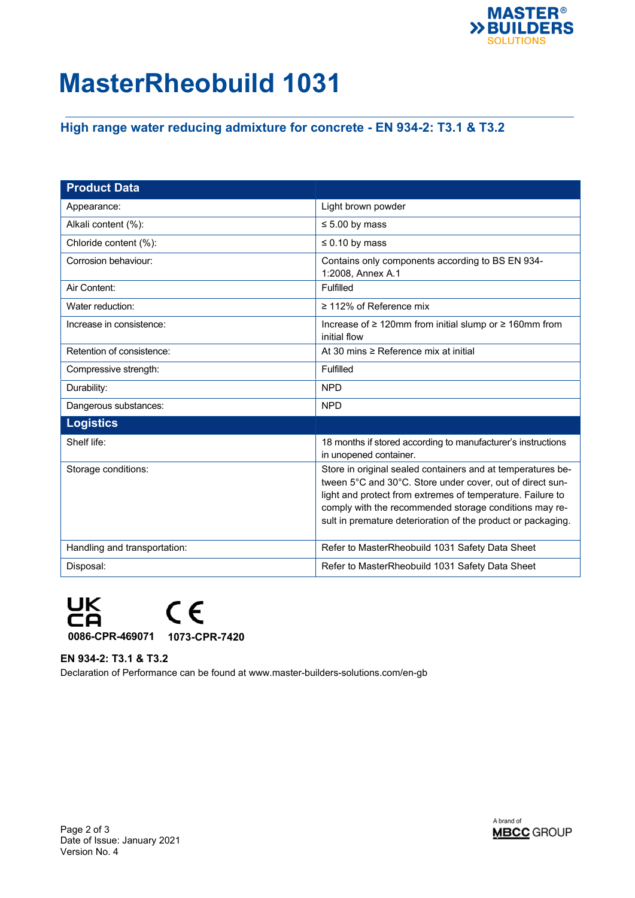

# **MasterRheobuild 1031**

## **High range water reducing admixture for concrete - EN 934-2: T3.1 & T3.2**

| <b>Product Data</b>          |                                                                                                                                                                                                                                                                                                                  |
|------------------------------|------------------------------------------------------------------------------------------------------------------------------------------------------------------------------------------------------------------------------------------------------------------------------------------------------------------|
| Appearance:                  | Light brown powder                                                                                                                                                                                                                                                                                               |
| Alkali content (%):          | $\leq 5.00$ by mass                                                                                                                                                                                                                                                                                              |
| Chloride content (%):        | $\leq 0.10$ by mass                                                                                                                                                                                                                                                                                              |
| Corrosion behaviour:         | Contains only components according to BS EN 934-<br>1:2008, Annex A.1                                                                                                                                                                                                                                            |
| Air Content:                 | Fulfilled                                                                                                                                                                                                                                                                                                        |
| Water reduction:             | $\geq$ 112% of Reference mix                                                                                                                                                                                                                                                                                     |
| Increase in consistence:     | Increase of $\geq 120$ mm from initial slump or $\geq 160$ mm from<br>initial flow                                                                                                                                                                                                                               |
| Retention of consistence:    | At 30 mins ≥ Reference mix at initial                                                                                                                                                                                                                                                                            |
| Compressive strength:        | Fulfilled                                                                                                                                                                                                                                                                                                        |
| Durability:                  | <b>NPD</b>                                                                                                                                                                                                                                                                                                       |
| Dangerous substances:        | <b>NPD</b>                                                                                                                                                                                                                                                                                                       |
| <b>Logistics</b>             |                                                                                                                                                                                                                                                                                                                  |
| Shelf life:                  | 18 months if stored according to manufacturer's instructions<br>in unopened container.                                                                                                                                                                                                                           |
| Storage conditions:          | Store in original sealed containers and at temperatures be-<br>tween 5°C and 30°C. Store under cover, out of direct sun-<br>light and protect from extremes of temperature. Failure to<br>comply with the recommended storage conditions may re-<br>sult in premature deterioration of the product or packaging. |
| Handling and transportation: | Refer to MasterRheobuild 1031 Safety Data Sheet                                                                                                                                                                                                                                                                  |
| Disposal:                    | Refer to MasterRheobuild 1031 Safety Data Sheet                                                                                                                                                                                                                                                                  |



### **EN 934-2: T3.1 & T3.2**

Declaration of Performance can be found at www.master-builders-solutions.com/en-gb